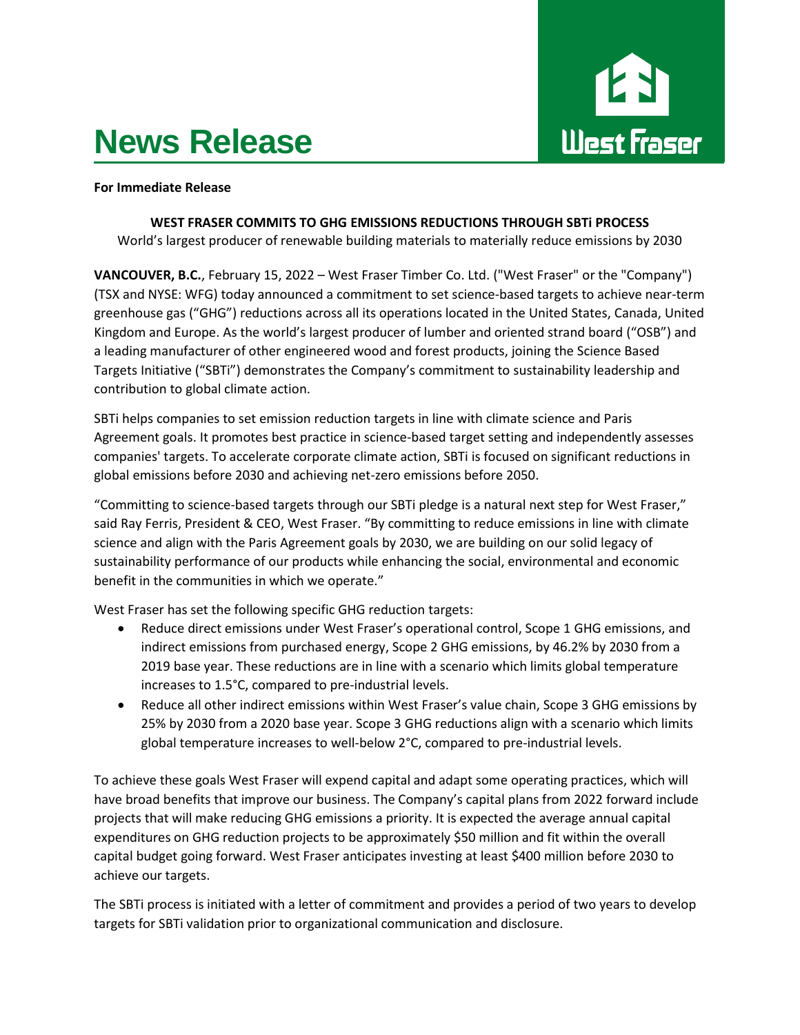# **News Release**



### **For Immediate Release**

## **WEST FRASER COMMITS TO GHG EMISSIONS REDUCTIONS THROUGH SBTi PROCESS**

World's largest producer of renewable building materials to materially reduce emissions by 2030

**VANCOUVER, B.C.**, February 15, 2022 – West Fraser Timber Co. Ltd. ("West Fraser" or the "Company") (TSX and NYSE: WFG) today announced a commitment to set science-based targets to achieve near-term greenhouse gas ("GHG") reductions across all its operations located in the United States, Canada, United Kingdom and Europe. As the world's largest producer of lumber and oriented strand board ("OSB") and a leading manufacturer of other engineered wood and forest products, joining the Science Based Targets Initiative ("SBTi") demonstrates the Company's commitment to sustainability leadership and contribution to global climate action.

SBTi helps companies to set emission reduction targets in line with climate science and Paris Agreement goals. It promotes best practice in science-based target setting and independently assesses companies' targets. To accelerate corporate climate action, SBTi is focused on significant reductions in global emissions before 2030 and achieving net-zero emissions before 2050.

"Committing to science-based targets through our SBTi pledge is a natural next step for West Fraser," said Ray Ferris, President & CEO, West Fraser. "By committing to reduce emissions in line with climate science and align with the Paris Agreement goals by 2030, we are building on our solid legacy of sustainability performance of our products while enhancing the social, environmental and economic benefit in the communities in which we operate."

West Fraser has set the following specific GHG reduction targets:

- Reduce direct emissions under West Fraser's operational control, Scope 1 GHG emissions, and indirect emissions from purchased energy, Scope 2 GHG emissions, by 46.2% by 2030 from a 2019 base year. These reductions are in line with a scenario which limits global temperature increases to 1.5°C, compared to pre-industrial levels.
- Reduce all other indirect emissions within West Fraser's value chain, Scope 3 GHG emissions by 25% by 2030 from a 2020 base year. Scope 3 GHG reductions align with a scenario which limits global temperature increases to well-below 2°C, compared to pre-industrial levels.

To achieve these goals West Fraser will expend capital and adapt some operating practices, which will have broad benefits that improve our business. The Company's capital plans from 2022 forward include projects that will make reducing GHG emissions a priority. It is expected the average annual capital expenditures on GHG reduction projects to be approximately \$50 million and fit within the overall capital budget going forward. West Fraser anticipates investing at least \$400 million before 2030 to achieve our targets.

The SBTi process is initiated with a letter of commitment and provides a period of two years to develop targets for SBTi validation prior to organizational communication and disclosure.